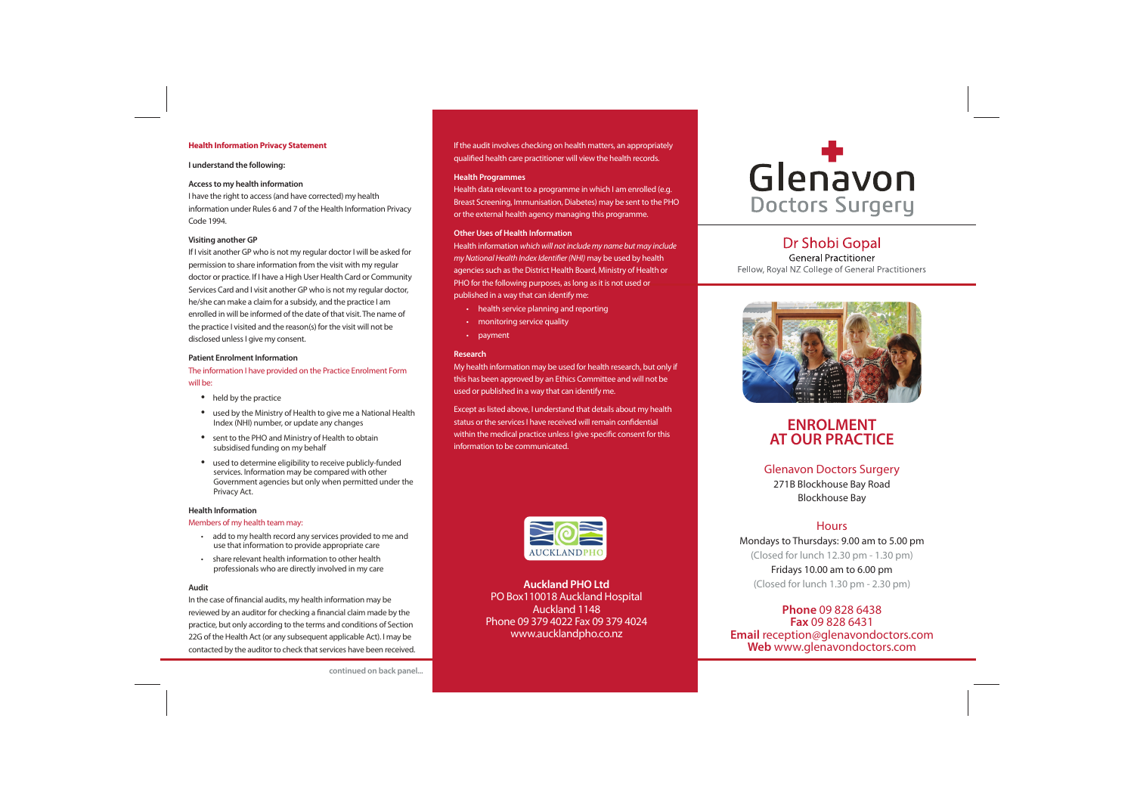#### **Health Information Privacy Statement**

#### **I understand the following:**

#### **Access to my health information**

I have the right to access (and have corrected) my health information under Rules 6 and 7 of the Health Information Privacy Code 1994.

#### **Visiting another GP**

If I visit another GP who is not my regular doctor I will be asked for permission to share information from the visit with my regular doctor or practice. If I have a High User Health Card or Community Services Card and I visit another GP who is not my regular doctor, he/she can make a claim for a subsidy, and the practice I am enrolled in will be informed of the date of that visit. The name of the practice I visited and the reason(s) for the visit will not be disclosed unless I give my consent.

#### **Patient Enrolment Information**

The information I have provided on the Practice Enrolment Form will be:

- held by the practice
- used by the Ministry of Health to give me a National Health Index (NHI) number, or update any changes
- sent to the PHO and Ministry of Health to obtain subsidised funding on my behalf
- used to determine eligibility to receive publicly-funded services. Information may be compared with other Government agencies but only when permitted under the Privacy Act.

#### **Health Information**

#### Members of my health team may:

- add to my health record any services provided to me and use that information to provide appropriate care
- share relevant health information to other health professionals who are directly involved in my care

#### **Audit**

In the case of financial audits, my health information may be reviewed by an auditor for checking a financial claim made by the practice, but only according to the terms and conditions of Section 22G of the Health Act (or any subsequent applicable Act). I may be contacted by the auditor to check that services have been received. If the audit involves checking on health matters, an appropriately qualified health care practitioner will view the health records.

#### **Health Programmes**

Health data relevant to a programme in which I am enrolled (e.g. Breast Screening, Immunisation, Diabetes) may be sent to the PHO or the external health agency managing this programme.

#### **Other Uses of Health Information**

Health information which will not include my name but may include my National Health Index Identifier (NHI) may be used by health agencies such as the District Health Board, Ministry of Health or PHO for the following purposes, as long as it is not used or published in a way that can identify me:

- health service planning and reporting
- monitoring service quality
- payment

#### **Research**

My health information may be used for health research, but only if this has been approved by an Ethics Committee and will not be used or published in a way that can identify me.

Except as listed above, I understand that details about my health status or the services I have received will remain confidential within the medical practice unless I give specific consent for this information to be communicated.



**Auckland PHO Ltd**PO Box110018 Auckland Hospital Auckland 1148Phone 09 379 4022 Fax 09 379 4024www.aucklandpho.co.nz



## **Dr Shobi Gopal**

**General Practitioner** Fellow, Roval NZ College of General Practitioners



## **ENROLMENT AT OUR PRACTICE**

Glenavon Doctors Surgery 271B Blockhouse Bay Road Blockhouse Bay

### **Hours**

Mondays to Thursdays: 9.00 am to 5.00 pm (Closed for lunch 12.30 pm - 1.30 pm)

Fridays 10.00 am to 6.00 pm (Closed for lunch 1.30 pm - 2.30 pm)

**Phone** 09 828 6438**Fax** 09 828 6431 **Email** reception@glenavondoctors.com **Web** www.glenavondoctors.com

**continued on back panel...**